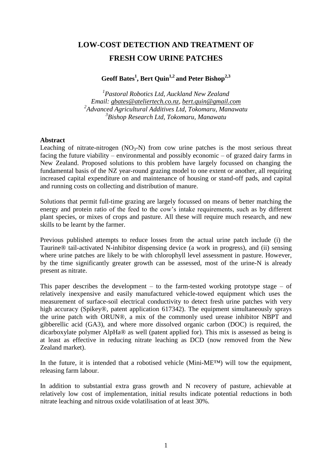# **LOW-COST DETECTION AND TREATMENT OF FRESH COW URINE PATCHES**

## **Geoff Bates<sup>1</sup> , Bert Quin1,2 and Peter Bishop2,3**

 *Pastoral Robotics Ltd, Auckland New Zealand Email: [gbates@ateliertech.co.nz,](mailto:gbates@ateliertech.co.nz) [bert.quin@gmail.com](mailto:bert.quin@gmail.com) Advanced Agricultural Additives Ltd, Tokomaru, Manawatu Bishop Research Ltd, Tokomaru, Manawatu*

#### **Abstract**

Leaching of nitrate-nitrogen  $(NO<sub>3</sub>-N)$  from cow urine patches is the most serious threat facing the future viability – environmental and possibly economic – of grazed dairy farms in New Zealand. Proposed solutions to this problem have largely focussed on changing the fundamental basis of the NZ year-round grazing model to one extent or another, all requiring increased capital expenditure on and maintenance of housing or stand-off pads, and capital and running costs on collecting and distribution of manure.

Solutions that permit full-time grazing are largely focussed on means of better matching the energy and protein ratio of the feed to the cow's intake requirements, such as by different plant species, or mixes of crops and pasture. All these will require much research, and new skills to be learnt by the farmer.

Previous published attempts to reduce losses from the actual urine patch include (i) the Taurine® tail-activated N-inhibitor dispensing device (a work in progress), and (ii) sensing where urine patches are likely to be with chlorophyll level assessment in pasture. However, by the time significantly greater growth can be assessed, most of the urine-N is already present as nitrate.

This paper describes the development  $-$  to the farm-tested working prototype stage  $-$  of relatively inexpensive and easily manufactured vehicle-towed equipment which uses the measurement of surface-soil electrical conductivity to detect fresh urine patches with very high accuracy (Spikey®, patent application 617342). The equipment simultaneously sprays the urine patch with ORUN®, a mix of the commonly used urease inhibitor NBPT and gibberellic acid (GA3), and where more dissolved organic carbon (DOC) is required, the dicarboxylate polymer AlpHa® as well (patent applied for). This mix is assessed as being is at least as effective in reducing nitrate leaching as DCD (now removed from the New Zealand market).

In the future, it is intended that a robotised vehicle (Mini-ME™) will tow the equipment, releasing farm labour.

In addition to substantial extra grass growth and N recovery of pasture, achievable at relatively low cost of implementation, initial results indicate potential reductions in both nitrate leaching and nitrous oxide volatilisation of at least 30%.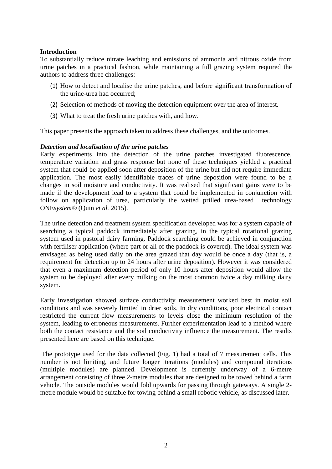#### **Introduction**

To substantially reduce nitrate leaching and emissions of ammonia and nitrous oxide from urine patches in a practical fashion, while maintaining a full grazing system required the authors to address three challenges:

- (1) How to detect and localise the urine patches, and before significant transformation of the urine-urea had occurred;
- (2) Selection of methods of moving the detection equipment over the area of interest.
- (3) What to treat the fresh urine patches with, and how.

This paper presents the approach taken to address these challenges, and the outcomes.

#### *Detection and localisation of the urine patches*

Early experiments into the detection of the urine patches investigated fluorescence, temperature variation and grass response but none of these techniques yielded a practical system that could be applied soon after deposition of the urine but did not require immediate application. The most easily identifiable traces of urine deposition were found to be a changes in soil moisture and conductivity. It was realised that significant gains were to be made if the development lead to a system that could be implemented in conjunction with follow on application of urea, particularly the wetted prilled urea-based technology ONE*system®* (Quin *et al.* 2015).

The urine detection and treatment system specification developed was for a system capable of searching a typical paddock immediately after grazing, in the typical rotational grazing system used in pastoral dairy farming. Paddock searching could be achieved in conjunction with fertiliser application (where part or all of the paddock is covered). The ideal system was envisaged as being used daily on the area grazed that day would be once a day (that is, a requirement for detection up to 24 hours after urine deposition). However it was considered that even a maximum detection period of only 10 hours after deposition would allow the system to be deployed after every milking on the most common twice a day milking dairy system.

Early investigation showed surface conductivity measurement worked best in moist soil conditions and was severely limited in drier soils. In dry conditions, poor electrical contact restricted the current flow measurements to levels close the minimum resolution of the system, leading to erroneous measurements. Further experimentation lead to a method where both the contact resistance and the soil conductivity influence the measurement. The results presented here are based on this technique.

The prototype used for the data collected (Fig. 1) had a total of 7 measurement cells. This number is not limiting, and future longer iterations (modules) and compound iterations (multiple modules) are planned. Development is currently underway of a 6-metre arrangement consisting of three 2-metre modules that are designed to be towed behind a farm vehicle. The outside modules would fold upwards for passing through gateways. A single 2 metre module would be suitable for towing behind a small robotic vehicle, as discussed later.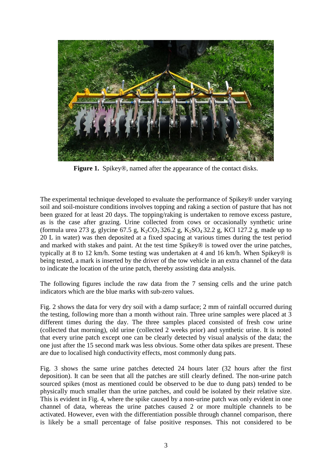

**Figure 1.** Spikey®, named after the appearance of the contact disks.

The experimental technique developed to evaluate the performance of Spikey® under varying soil and soil-moisture conditions involves topping and raking a section of pasture that has not been grazed for at least 20 days. The topping/raking is undertaken to remove excess pasture, as is the case after grazing. Urine collected from cows or occasionally synthetic urine (formula urea 273 g, glycine 67.5 g,  $K_2CO_3 326.2$  g,  $K_2SO_4 32.2$  g, KCl 127.2 g, made up to 20 L in water) was then deposited at a fixed spacing at various times during the test period and marked with stakes and paint. At the test time Spikey® is towed over the urine patches, typically at 8 to 12 km/h. Some testing was undertaken at 4 and 16 km/h. When Spikey® is being tested, a mark is inserted by the driver of the tow vehicle in an extra channel of the data to indicate the location of the urine patch, thereby assisting data analysis.

The following figures include the raw data from the 7 sensing cells and the urine patch indicators which are the blue marks with sub-zero values.

Fig. 2 shows the data for very dry soil with a damp surface; 2 mm of rainfall occurred during the testing, following more than a month without rain. Three urine samples were placed at 3 different times during the day. The three samples placed consisted of fresh cow urine (collected that morning), old urine (collected 2 weeks prior) and synthetic urine. It is noted that every urine patch except one can be clearly detected by visual analysis of the data; the one just after the 15 second mark was less obvious. Some other data spikes are present. These are due to localised high conductivity effects, most commonly dung pats.

Fig. 3 shows the same urine patches detected 24 hours later (32 hours after the first deposition). It can be seen that all the patches are still clearly defined. The non-urine patch sourced spikes (most as mentioned could be observed to be due to dung pats) tended to be physically much smaller than the urine patches, and could be isolated by their relative size. This is evident in Fig. 4, where the spike caused by a non-urine patch was only evident in one channel of data, whereas the urine patches caused 2 or more multiple channels to be activated. However, even with the differentiation possible through channel comparison, there is likely be a small percentage of false positive responses. This not considered to be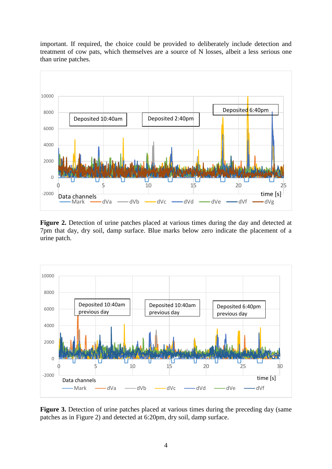

important. If required, the choice could be provided to deliberately include detection and treatment of cow pats, which themselves are a source of N losses, albeit a less serious one

**Figure 2.** Detection of urine patches placed at various times during the day and detected at 7pm that day, dry soil, damp surface. Blue marks below zero indicate the placement of a urine patch.

0 5 10 15 20 25

Mark — dVa — dVb — dVc — dVd — dVe — dVf — dVg

Data channels<br>
Mark  $\frac{1}{\frac{1}{\sqrt{1-\frac{1}{n}}} \cdot \frac{1}{\sqrt{1-\frac{1}{n}}} \cdot \frac{1}{\sqrt{1-\frac{1}{n}}} \cdot \frac{1}{\sqrt{1-\frac{1}{n}}} \cdot \frac{1}{\sqrt{1-\frac{1}{n}}} \cdot \frac{1}{\sqrt{1-\frac{1}{n}}} \cdot \frac{1}{\sqrt{1-\frac{1}{n}}} \cdot \frac{1}{\sqrt{1-\frac{1}{n}}} \cdot \frac{1}{\sqrt{1-\frac{1}{n}}} \cdot \frac{1}{\sqrt{1-\frac{1}{n}}} \cdot \frac{1}{\sqrt{1-\frac{1}{n$ 

-2000

 $\theta$ 



**Figure 3.** Detection of urine patches placed at various times during the preceding day (same patches as in Figure 2) and detected at 6:20pm, dry soil, damp surface.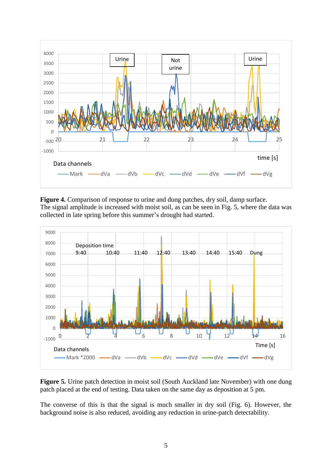

**Figure 4.** Comparison of response to urine and dung patches, dry soil, damp surface. The signal amplitude is increased with moist soil, as can be seen in Fig. 5, where the data was collected in late spring before this summer's drought had started.



**Figure 5.** Urine patch detection in moist soil (South Auckland late November) with one dung patch placed at the end of testing. Data taken on the same day as deposition at 5 pm.

The converse of this is that the signal is much smaller in dry soil (Fig. 6). However, the background noise is also reduced, avoiding any reduction in urine-patch detectability.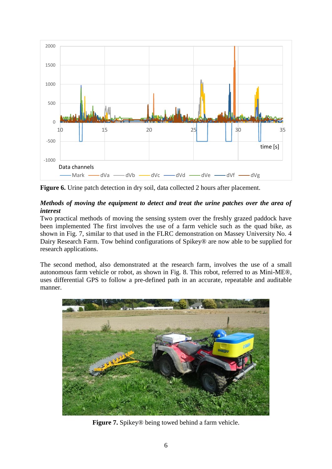

**Figure 6.** Urine patch detection in dry soil, data collected 2 hours after placement.

## *Methods of moving the equipment to detect and treat the urine patches over the area of interest*

Two practical methods of moving the sensing system over the freshly grazed paddock have been implemented The first involves the use of a farm vehicle such as the quad bike, as shown in Fig. 7, similar to that used in the FLRC demonstration on Massey University No. 4 Dairy Research Farm. Tow behind configurations of Spikey® are now able to be supplied for research applications.

The second method, also demonstrated at the research farm, involves the use of a small autonomous farm vehicle or robot, as shown in Fig. 8. This robot, referred to as Mini-ME®, uses differential GPS to follow a pre-defined path in an accurate, repeatable and auditable manner.



**Figure 7.** Spikey® being towed behind a farm vehicle.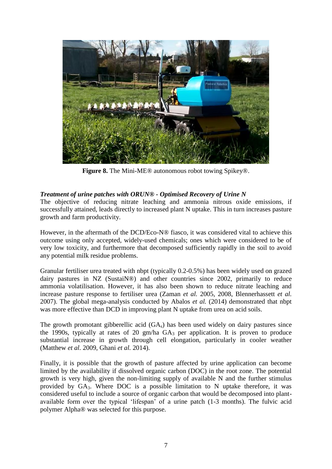

**Figure 8.** The Mini-ME® autonomous robot towing Spikey®.

## *Treatment of urine patches with ORUN® - Optimised Recovery of Urine N*

The objective of reducing nitrate leaching and ammonia nitrous oxide emissions, if successfully attained, leads directly to increased plant N uptake. This in turn increases pasture growth and farm productivity.

However, in the aftermath of the DCD/Eco-N® fiasco, it was considered vital to achieve this outcome using only accepted, widely-used chemicals; ones which were considered to be of very low toxicity, and furthermore that decomposed sufficiently rapidly in the soil to avoid any potential milk residue problems.

Granular fertiliser urea treated with nbpt (typically 0.2-0.5%) has been widely used on grazed dairy pastures in NZ (SustaiN®) and other countries since 2002, primarily to reduce ammonia volatilisation. However, it has also been shown to reduce nitrate leaching and increase pasture response to fertiliser urea (Zaman *et al.* 2005, 2008, Blennerhassett *et al.* 2007). The global mega-analysis conducted by Abalos *et al.* (2014) demonstrated that nbpt was more effective than DCD in improving plant N uptake from urea on acid soils.

The growth promotant gibberellic acid (GA<sub>s</sub>) has been used widely on dairy pastures since the 1990s, typically at rates of 20 gm/ha  $GA_3$  per application. It is proven to produce substantial increase in growth through cell elongation, particularly in cooler weather (Matthew *et al.* 2009, Ghani *et al.* 2014).

Finally, it is possible that the growth of pasture affected by urine application can become limited by the availability if dissolved organic carbon (DOC) in the root zone. The potential growth is very high, given the non-limiting supply of available N and the further stimulus provided by GA3. Where DOC is a possible limitation to N uptake therefore, it was considered useful to include a source of organic carbon that would be decomposed into plantavailable form over the typical 'lifespan' of a urine patch (1-3 months). The fulvic acid polymer Alpha® was selected for this purpose.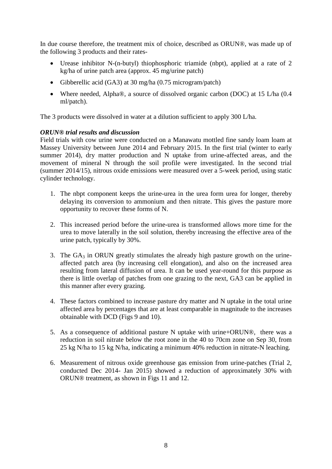In due course therefore, the treatment mix of choice, described as ORUN®, was made up of the following 3 products and their rates-

- Urease inhibitor N-(n-butyl) thiophosphoric triamide (nbpt), applied at a rate of 2 kg/ha of urine patch area (approx. 45 mg/urine patch)
- Gibberellic acid (GA3) at 30 mg/ha (0.75 microgram/patch)
- Where needed, Alpha®, a source of dissolved organic carbon (DOC) at 15 L/ha (0.4 ml/patch).

The 3 products were dissolved in water at a dilution sufficient to apply 300 L/ha.

## *ORUN® trial results and discussion*

Field trials with cow urine were conducted on a Manawatu mottled fine sandy loam loam at Massey University between June 2014 and February 2015. In the first trial (winter to early summer 2014), dry matter production and N uptake from urine-affected areas, and the movement of mineral N through the soil profile were investigated. In the second trial (summer 2014/15), nitrous oxide emissions were measured over a 5-week period, using static cylinder technology.

- 1. The nbpt component keeps the urine-urea in the urea form urea for longer, thereby delaying its conversion to ammonium and then nitrate. This gives the pasture more opportunity to recover these forms of N.
- 2. This increased period before the urine-urea is transformed allows more time for the urea to move laterally in the soil solution, thereby increasing the effective area of the urine patch, typically by 30%.
- 3. The  $GA_3$  in ORUN greatly stimulates the already high pasture growth on the urineaffected patch area (by increasing cell elongation), and also on the increased area resulting from lateral diffusion of urea. It can be used year-round for this purpose as there is little overlap of patches from one grazing to the next, GA3 can be applied in this manner after every grazing.
- 4. These factors combined to increase pasture dry matter and N uptake in the total urine affected area by percentages that are at least comparable in magnitude to the increases obtainable with DCD (Figs 9 and 10).
- 5. As a consequence of additional pasture N uptake with urine+ORUN®, there was a reduction in soil nitrate below the root zone in the 40 to 70cm zone on Sep 30, from 25 kg N/ha to 15 kg N/ha, indicating a minimum 40% reduction in nitrate-N leaching.
- 6. Measurement of nitrous oxide greenhouse gas emission from urine-patches (Trial 2, conducted Dec 2014- Jan 2015) showed a reduction of approximately 30% with ORUN® treatment, as shown in Figs 11 and 12.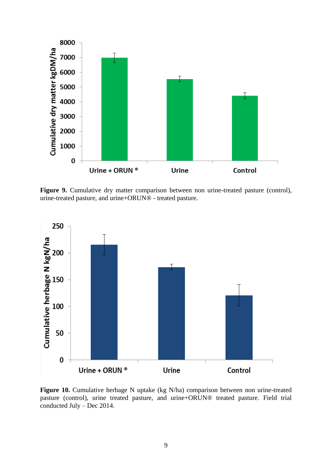

Figure 9. Cumulative dry matter comparison between non urine-treated pasture (control), urine-treated pasture, and urine+ORUN® - treated pasture.



**Figure 10.** Cumulative herbage N uptake (kg N/ha) comparison between non urine-treated pasture (control), urine treated pasture, and urine+ORUN® treated pasture. Field trial conducted July – Dec 2014.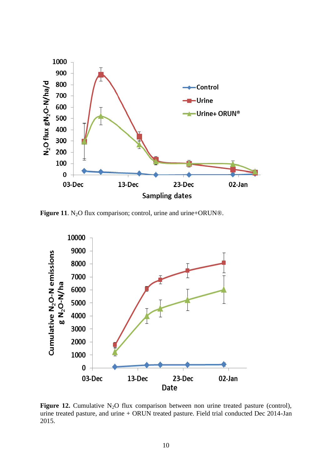

**Figure 11**. N<sub>2</sub>O flux comparison; control, urine and urine+ORUN®.



**Figure 12.** Cumulative  $N_2O$  flux comparison between non urine treated pasture (control), urine treated pasture, and urine + ORUN treated pasture. Field trial conducted Dec 2014-Jan 2015.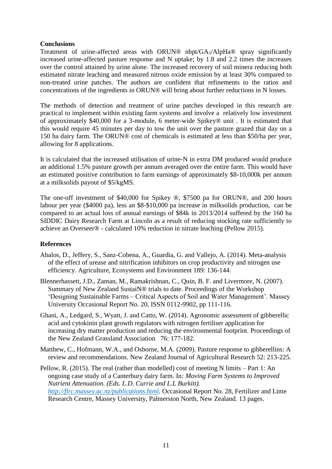### **Conclusions**

Treatment of urine-affected areas with ORUN® nbpt/GA3/AlpHa® spray significantly increased urine-affected pasture response and N uptake; by 1.8 and 2.2 times the increases over the control attained by urine alone. The increased recovery of soil minera reducing both estimated nitrate leaching and measured nitrous oxide emission by at least 30% compared to non-treated urine patches. The authors are confident that refinements to the ratios and concentrations of the ingredients in ORUN® will bring about further reductions in N losses.

The methods of detection and treatment of urine patches developed in this research are practical to implement within existing farm systems and involve a relatively low investment of approximately \$40,000 for a 3-module, 6 meter-wide Spikey® unit . It is estimated that this would require 45 minutes per day to tow the unit over the pasture grazed that day on a 150 ha dairy farm. The ORUN® cost of chemicals is estimated at less than \$50/ha per year, allowing for 8 applications.

It is calculated that the increased utilisation of urine-N in extra DM produced would produce an additional 1.5% pasture growth per annum averaged over the entire farm. This would have an estimated positive contribution to farm earnings of approximately \$8-10,000k per annum at a milksolids payout of \$5/kgMS.

The one-off investment of \$40,000 for Spikey ®, \$7500 pa for ORUN®, and 200 hours labour per year (\$4000 pa), less an \$8-\$10,000 pa increase in milksolids production, can be compared to an actual loss of annual earnings of \$84k in 2013/2014 suffered by the 160 ha SIDDIC Dairy Research Farm at Lincoln as a result of reducing stocking rate sufficiently to achieve an Overseer® - calculated 10% reduction in nitrate leaching (Pellow 2015).

## **References**

- Abalos, D., Jeffery, S., Sanz-Cobena, A., Guardia, G. and Vallejo, A. (2014). Meta-analysis of the effect of urease and nitrification inhibitors on crop productivity and nitrogen use efficiency. Agriculture, Ecosystems and Environment 189: 136-144.
- Blennerhassett, J.D., Zaman, M., Ramakrishnan, C., Quin, B. F. and Livermore, N. (2007). Summary of New Zealand SustaiN® trials to date. Proceedings of the Workshop 'Designing Sustainable Farms – Critical Aspects of Soil and Water Management'. Massey University Occasional Report No. 20, ISSN 0112-9902, pp 111-116.
- Ghani, A., Ledgard, S., Wyatt, J. and Catto, W. (2014). Agronomic assessment of gibberellic acid and cytokinin plant growth regulators with nitrogen fertiliser application for increasing dry matter production and reducing the environmental footprint. Proceedings of the New Zealand Grassland Association 76: 177-182.
- Matthew, C., Hofmann, W.A., and Osborne, M.A. (2009). Pasture response to gibberellins: A review and recommendations. New Zealand Journal of Agricultural Research 52: 213-225.

Pellow, R. (2015). The real (rather than modelled) cost of meeting N limits – Part 1: An ongoing case study of a Canterbury dairy farm. In*: Moving Farm Systems to Improved Nutrient Attenuation. (Eds. L.D. Currie and L.L Burkitt). [http://flrc.massey.ac.nz/publications.html.](http://flrc.massey.ac.nz/publications.html)* Occasional Report No. 28, Fertilizer and Lime Research Centre, Massey University, Palmerston North, New Zealand. 13 pages.